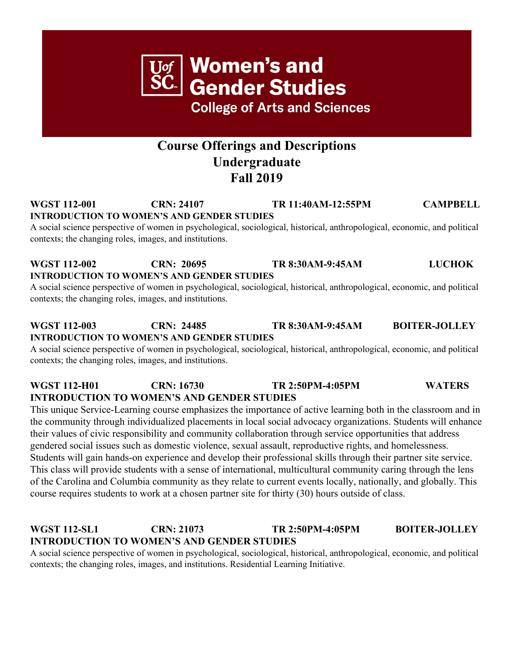# **Course Offerings and Descriptions Undergraduate Fall 2019**

**Women's and** 

**Gender Studies** 

**College of Arts and Sciences** 

#### **WGST 112-001 CRN: 24107 TR 11:40AM-12:55PM CAMPBELL INTRODUCTION TO WOMEN'S AND GENDER STUDIES**

A social science perspective of women in psychological, sociological, historical, anthropological, economic, and political contexts; the changing roles, images, and institutions.

#### **WGST 112-002 CRN: 20695 TR 8:30AM-9:45AM LUCHOK INTRODUCTION TO WOMEN'S AND GENDER STUDIES**

A social science perspective of women in psychological, sociological, historical, anthropological, economic, and political contexts; the changing roles, images, and institutions.

# **WGST 112-003 CRN: 24485 TR 8:30AM-9:45AM BOITER-JOLLEY INTRODUCTION TO WOMEN'S AND GENDER STUDIES**

A social science perspective of women in psychological, sociological, historical, anthropological, economic, and political contexts; the changing roles, images, and institutions.

### **WGST 112-H01 CRN: 16730 TR 2:50PM-4:05PM WATERS INTRODUCTION TO WOMEN'S AND GENDER STUDIES**

This unique Service-Learning course emphasizes the importance of active learning both in the classroom and in the community through individualized placements in local social advocacy organizations. Students will enhance their values of civic responsibility and community collaboration through service opportunities that address gendered social issues such as domestic violence, sexual assault, reproductive rights, and homelessness. Students will gain hands-on experience and develop their professional skills through their partner site service. This class will provide students with a sense of international, multicultural community caring through the lens of the Carolina and Columbia community as they relate to current events locally, nationally, and globally. This course requires students to work at a chosen partner site for thirty (30) hours outside of class.

### **WGST 112-SL1 CRN: 21073 TR 2:50PM-4:05PM BOITER-JOLLEY INTRODUCTION TO WOMEN'S AND GENDER STUDIES**

A social science perspective of women in psychological, sociological, historical, anthropological, economic, and political contexts; the changing roles, images, and institutions. Residential Learning Initiative.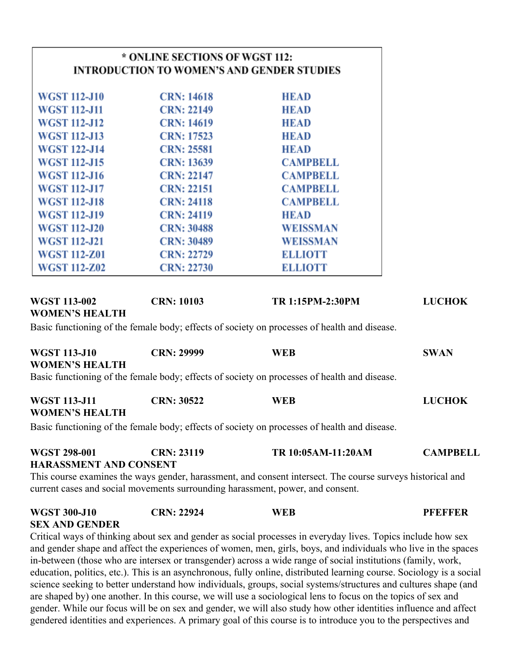|                                                      | * ONLINE SECTIONS OF WGST 112: |                                                                                                                                                                                                                                                                                                                                                                                                                                                                                                                                                                                                                                                                                                                                                                                                                              |                 |
|------------------------------------------------------|--------------------------------|------------------------------------------------------------------------------------------------------------------------------------------------------------------------------------------------------------------------------------------------------------------------------------------------------------------------------------------------------------------------------------------------------------------------------------------------------------------------------------------------------------------------------------------------------------------------------------------------------------------------------------------------------------------------------------------------------------------------------------------------------------------------------------------------------------------------------|-----------------|
| <b>INTRODUCTION TO WOMEN'S AND GENDER STUDIES</b>    |                                |                                                                                                                                                                                                                                                                                                                                                                                                                                                                                                                                                                                                                                                                                                                                                                                                                              |                 |
|                                                      |                                |                                                                                                                                                                                                                                                                                                                                                                                                                                                                                                                                                                                                                                                                                                                                                                                                                              |                 |
| <b>WGST 112-J10</b>                                  | <b>CRN: 14618</b>              | <b>HEAD</b>                                                                                                                                                                                                                                                                                                                                                                                                                                                                                                                                                                                                                                                                                                                                                                                                                  |                 |
| <b>WGST 112-J11</b>                                  | <b>CRN: 22149</b>              | <b>HEAD</b>                                                                                                                                                                                                                                                                                                                                                                                                                                                                                                                                                                                                                                                                                                                                                                                                                  |                 |
| <b>WGST 112-J12</b>                                  | <b>CRN: 14619</b>              | <b>HEAD</b>                                                                                                                                                                                                                                                                                                                                                                                                                                                                                                                                                                                                                                                                                                                                                                                                                  |                 |
| <b>WGST 112-J13</b>                                  | <b>CRN: 17523</b>              | <b>HEAD</b>                                                                                                                                                                                                                                                                                                                                                                                                                                                                                                                                                                                                                                                                                                                                                                                                                  |                 |
| <b>WGST 122-J14</b>                                  | <b>CRN: 25581</b>              | <b>HEAD</b>                                                                                                                                                                                                                                                                                                                                                                                                                                                                                                                                                                                                                                                                                                                                                                                                                  |                 |
| <b>WGST 112-J15</b>                                  | <b>CRN: 13639</b>              | <b>CAMPBELL</b>                                                                                                                                                                                                                                                                                                                                                                                                                                                                                                                                                                                                                                                                                                                                                                                                              |                 |
| <b>WGST 112-J16</b>                                  | <b>CRN: 22147</b>              | <b>CAMPBELL</b>                                                                                                                                                                                                                                                                                                                                                                                                                                                                                                                                                                                                                                                                                                                                                                                                              |                 |
| <b>WGST 112-J17</b>                                  | <b>CRN: 22151</b>              | <b>CAMPBELL</b>                                                                                                                                                                                                                                                                                                                                                                                                                                                                                                                                                                                                                                                                                                                                                                                                              |                 |
| <b>WGST 112-J18</b>                                  | <b>CRN: 24118</b>              | <b>CAMPBELL</b>                                                                                                                                                                                                                                                                                                                                                                                                                                                                                                                                                                                                                                                                                                                                                                                                              |                 |
| <b>WGST 112-J19</b>                                  | <b>CRN: 24119</b>              | <b>HEAD</b>                                                                                                                                                                                                                                                                                                                                                                                                                                                                                                                                                                                                                                                                                                                                                                                                                  |                 |
| <b>WGST 112-J20</b>                                  | <b>CRN: 30488</b>              | <b>WEISSMAN</b>                                                                                                                                                                                                                                                                                                                                                                                                                                                                                                                                                                                                                                                                                                                                                                                                              |                 |
| <b>WGST 112-J21</b>                                  | <b>CRN: 30489</b>              | <b>WEISSMAN</b>                                                                                                                                                                                                                                                                                                                                                                                                                                                                                                                                                                                                                                                                                                                                                                                                              |                 |
| <b>WGST 112-Z01</b>                                  | <b>CRN: 22729</b>              | <b>ELLIOTT</b>                                                                                                                                                                                                                                                                                                                                                                                                                                                                                                                                                                                                                                                                                                                                                                                                               |                 |
| <b>WGST 112-Z02</b>                                  | <b>CRN: 22730</b>              | <b>ELLIOTT</b>                                                                                                                                                                                                                                                                                                                                                                                                                                                                                                                                                                                                                                                                                                                                                                                                               |                 |
| <b>WGST 113-002</b><br><b>WOMEN'S HEALTH</b>         | <b>CRN: 10103</b>              | TR 1:15PM-2:30PM                                                                                                                                                                                                                                                                                                                                                                                                                                                                                                                                                                                                                                                                                                                                                                                                             | <b>LUCHOK</b>   |
|                                                      |                                | Basic functioning of the female body; effects of society on processes of health and disease.                                                                                                                                                                                                                                                                                                                                                                                                                                                                                                                                                                                                                                                                                                                                 |                 |
| <b>WGST 113-J10</b><br><b>WOMEN'S HEALTH</b>         | <b>CRN: 29999</b>              | <b>WEB</b>                                                                                                                                                                                                                                                                                                                                                                                                                                                                                                                                                                                                                                                                                                                                                                                                                   | <b>SWAN</b>     |
|                                                      |                                | Basic functioning of the female body; effects of society on processes of health and disease.                                                                                                                                                                                                                                                                                                                                                                                                                                                                                                                                                                                                                                                                                                                                 |                 |
| <b>WGST 113-J11</b><br><b>WOMEN'S HEALTH</b>         | <b>CRN: 30522</b>              | <b>WEB</b>                                                                                                                                                                                                                                                                                                                                                                                                                                                                                                                                                                                                                                                                                                                                                                                                                   | <b>LUCHOK</b>   |
|                                                      |                                | Basic functioning of the female body; effects of society on processes of health and disease.                                                                                                                                                                                                                                                                                                                                                                                                                                                                                                                                                                                                                                                                                                                                 |                 |
| <b>WGST 298-001</b><br><b>HARASSMENT AND CONSENT</b> | <b>CRN: 23119</b>              | TR 10:05AM-11:20AM                                                                                                                                                                                                                                                                                                                                                                                                                                                                                                                                                                                                                                                                                                                                                                                                           | <b>CAMPBELL</b> |
|                                                      |                                | This course examines the ways gender, harassment, and consent intersect. The course surveys historical and<br>current cases and social movements surrounding harassment, power, and consent.                                                                                                                                                                                                                                                                                                                                                                                                                                                                                                                                                                                                                                 |                 |
| <b>WGST 300-J10</b><br><b>SEX AND GENDER</b>         | <b>CRN: 22924</b>              | <b>WEB</b>                                                                                                                                                                                                                                                                                                                                                                                                                                                                                                                                                                                                                                                                                                                                                                                                                   | <b>PFEFFER</b>  |
|                                                      |                                | Critical ways of thinking about sex and gender as social processes in everyday lives. Topics include how sex<br>and gender shape and affect the experiences of women, men, girls, boys, and individuals who live in the spaces<br>in-between (those who are intersex or transgender) across a wide range of social institutions (family, work,<br>education, politics, etc.). This is an asynchronous, fully online, distributed learning course. Sociology is a social<br>science seeking to better understand how individuals, groups, social systems/structures and cultures shape (and<br>are shaped by) one another. In this course, we will use a sociological lens to focus on the topics of sex and<br>gender While our focus will be on sex and gender we will also study how other identities influence and affect |                 |

gender. While our focus will be on sex and gender, we will also study how other identities influence and affect gendered identities and experiences. A primary goal of this course is to introduce you to the perspectives and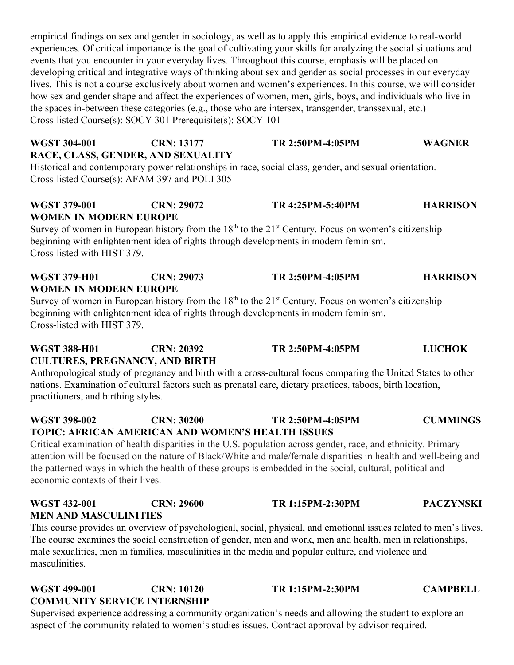empirical findings on sex and gender in sociology, as well as to apply this empirical evidence to real-world experiences. Of critical importance is the goal of cultivating your skills for analyzing the social situations and events that you encounter in your everyday lives. Throughout this course, emphasis will be placed on developing critical and integrative ways of thinking about sex and gender as social processes in our everyday lives. This is not a course exclusively about women and women's experiences. In this course, we will consider how sex and gender shape and affect the experiences of women, men, girls, boys, and individuals who live in the spaces in-between these categories (e.g., those who are intersex, transgender, transsexual, etc.) Cross-listed Course(s): SOCY 301 Prerequisite(s): SOCY 101

# **WGST 304-001 CRN: 13177 TR 2:50PM-4:05PM WAGNER RACE, CLASS, GENDER, AND SEXUALITY**

Historical and contemporary power relationships in race, social class, gender, and sexual orientation. Cross-listed Course(s): AFAM 397 and POLI 305

# **WGST 379-001 CRN: 29072 TR 4:25PM-5:40PM HARRISON WOMEN IN MODERN EUROPE**

Survey of women in European history from the  $18<sup>th</sup>$  to the  $21<sup>st</sup>$  Century. Focus on women's citizenship beginning with enlightenment idea of rights through developments in modern feminism. Cross-listed with HIST 379.

# **WGST 379-H01 CRN: 29073 TR 2:50PM-4:05PM HARRISON WOMEN IN MODERN EUROPE**

Survey of women in European history from the  $18<sup>th</sup>$  to the  $21<sup>st</sup>$  Century. Focus on women's citizenship beginning with enlightenment idea of rights through developments in modern feminism. Cross-listed with HIST 379.

# **WGST 388-H01 CRN: 20392 TR 2:50PM-4:05PM LUCHOK CULTURES, PREGNANCY, AND BIRTH**

Anthropological study of pregnancy and birth with a cross-cultural focus comparing the United States to other nations. Examination of cultural factors such as prenatal care, dietary practices, taboos, birth location, practitioners, and birthing styles.

**WGST 398-002 CRN: 30200 TR 2:50PM-4:05PM CUMMINGS TOPIC: AFRICAN AMERICAN AND WOMEN'S HEALTH ISSUES**

Critical examination of health disparities in the U.S. population across gender, race, and ethnicity. Primary attention will be focused on the nature of Black/White and male/female disparities in health and well-being and the patterned ways in which the health of these groups is embedded in the social, cultural, political and economic contexts of their lives.

# **WGST 432-001 CRN: 29600 TR 1:15PM-2:30PM PACZYNSKI MEN AND MASCULINITIES**

This course provides an overview of psychological, social, physical, and emotional issues related to men's lives. The course examines the social construction of gender, men and work, men and health, men in relationships, male sexualities, men in families, masculinities in the media and popular culture, and violence and masculinities.

# **WGST 499-001 CRN: 10120 TR 1:15PM-2:30PM CAMPBELL COMMUNITY SERVICE INTERNSHIP**

Supervised experience addressing a community organization's needs and allowing the student to explore an aspect of the community related to women's studies issues. Contract approval by advisor required.